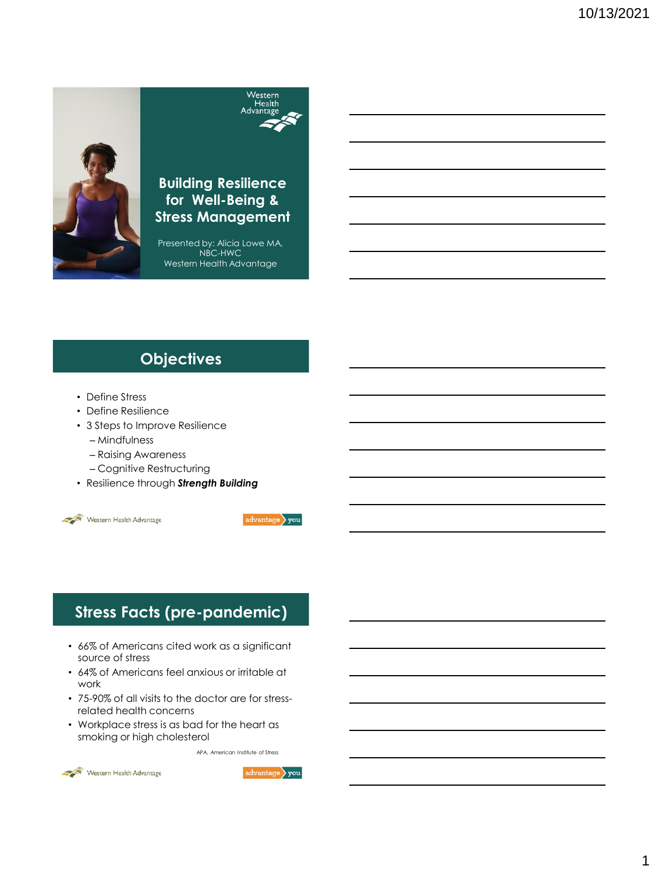

### Westerr Health Advantage

### **Building Resilience for Well-Being & Stress Management**

Presented by: Alicia Lowe MA, NBC-HWC Western Health Advantage

### **Objectives**

- Define Stress
- Define Resilience
- 3 Steps to Improve Resilience
	- Mindfulness
	- Raising Awareness
	- Cognitive Restructuring
- Resilience through *Strength Building*





## **Stress Facts (pre-pandemic)**

- 66% of Americans cited work as a significant source of stress
- 64% of Americans feel anxious or irritable at work
- 75-90% of all visits to the doctor are for stressrelated health concerns
- Workplace stress is as bad for the heart as smoking or high cholesterol

APA, American Institute of Stress



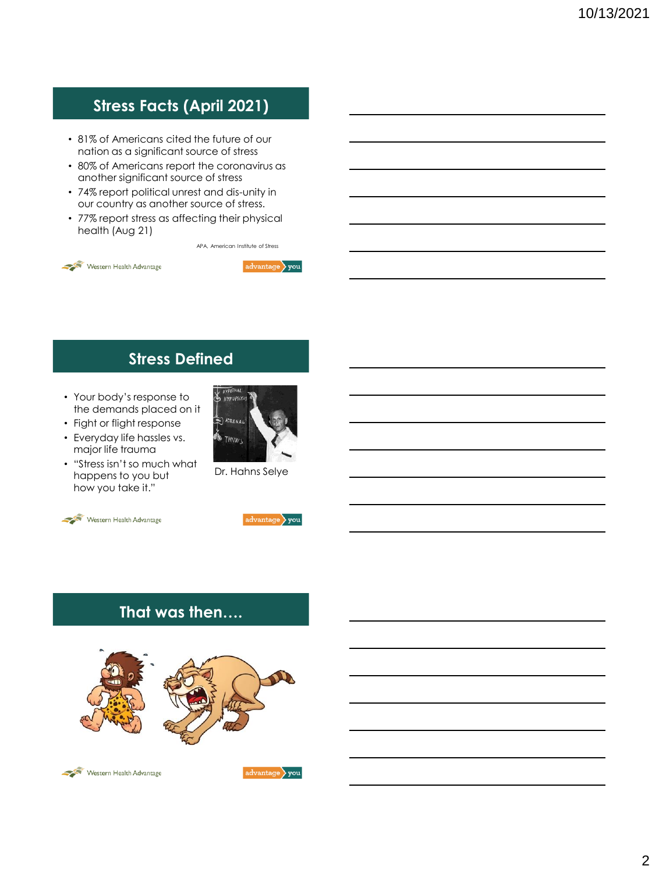## **Stress Facts (April 2021)**

- 81% of Americans cited the future of our nation as a significant source of stress
- 80% of Americans report the coronavirus as another significant source of stress
- 74% report political unrest and dis-unity in our country as another source of stress.
- 77% report stress as affecting their physical health (Aug 21)

APA, American Institute of Stress





### **Stress Defined**

- Your body's response to the demands placed on it
- Fight or flight response
- Everyday life hassles vs. major life trauma
- "Stress isn't so much what happens to you but how you take it."



Dr. Hahns Selye





### **That was then….**





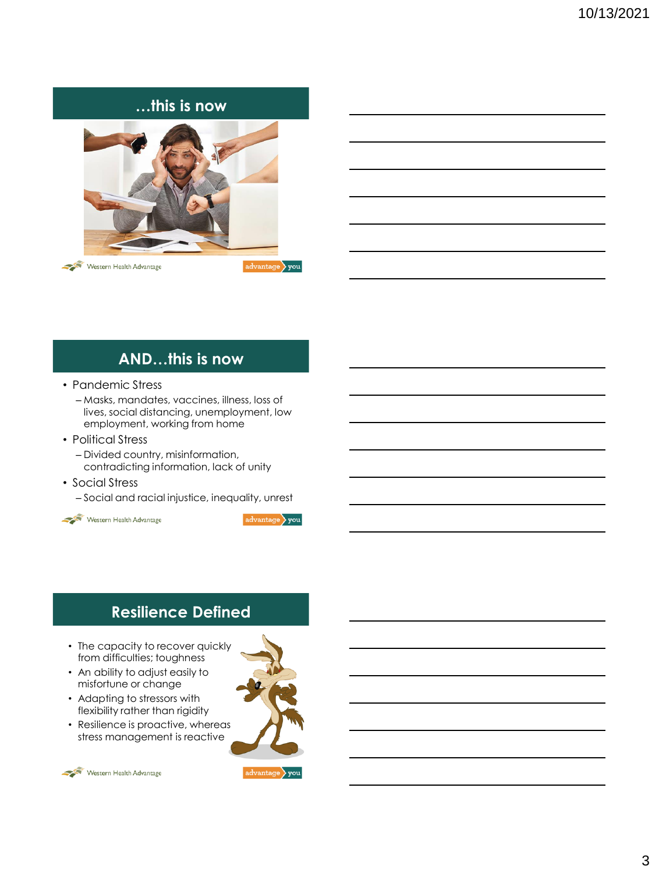### **…this is now**



Western Health Advantage

advantage you

### **AND…this is now**

- Pandemic Stress
	- Masks, mandates, vaccines, illness, loss of lives, social distancing, unemployment, low employment, working from home
- Political Stress
	- Divided country, misinformation, contradicting information, lack of unity
- Social Stress
	- Social and racial injustice, inequality, unrest



 $advantage$  you

### **Resilience Defined**

- The capacity to recover quickl[y](https://youtu.be/WD8sAo-dw_4)  from difficulties; toughness
- An ability to adjust easily to misfortune or change
- Adapting to stressors with flexibility rather than rigidity
- Resilience is proactive, whereas stress management is reactive

Western Health Advantage



 $\vert$  advantage  $\rangle$  you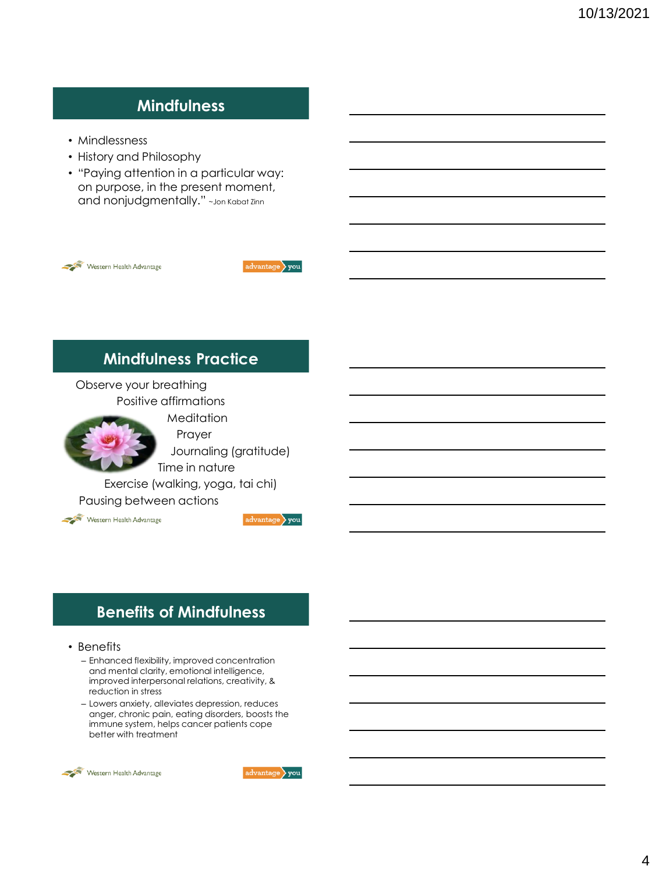### **Mindfulness**

- Mindlessness
- History and Philosophy
- "Paying attention in a particular way: on purpose, in the present moment, and nonjudgmentally." ~Jon Kabat Zinn



advantage you

### **Mindfulness Practice**

Observe your breathing Positive affirmations



Prayer Journaling (gratitude) Time in nature

Exercise (walking, yoga, tai chi) Pausing between actions



 $\vert$ advantage $\rangle$  you

### **Benefits of Mindfulness**

#### • Benefits

- Enhanced flexibility, improved concentration and mental clarity, emotional intelligence, improved interpersonal relations, creativity, & reduction in stress
- Lowers anxiety, alleviates depression, reduces anger, chronic pain, eating disorders, boosts the immune system, helps cancer patients cope better with treatment



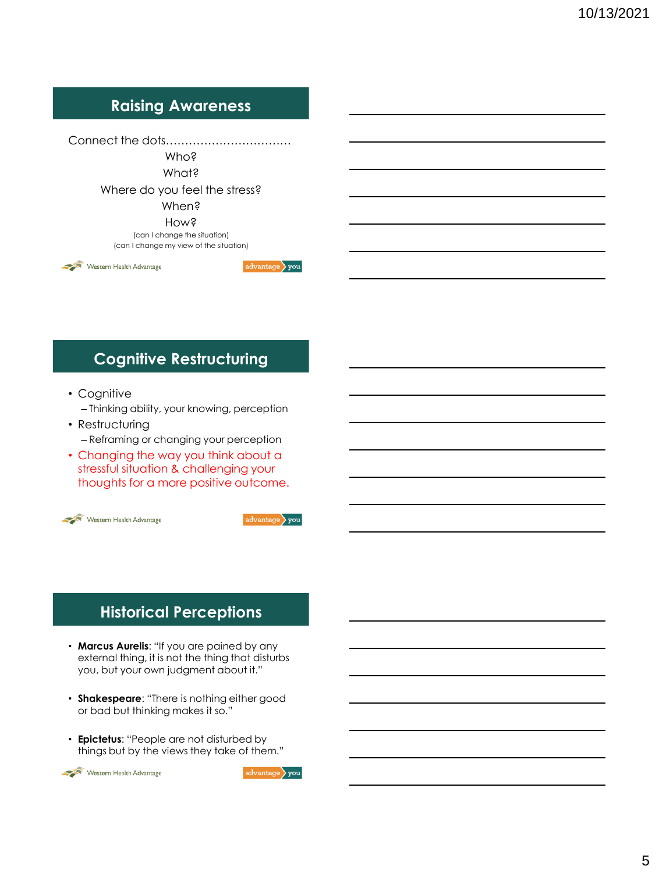### **Raising Awareness**

Connect the dots…………………………… Who? What? Where do you feel the stress? When? How? (can I change the situation) (can I change my view of the situation)

Western Health Advantage

# **Cognitive Restructuring**

- Cognitive
	- Thinking ability, your knowing, perception
- Restructuring – Reframing or changing your perception
- Changing the way you think about a stressful situation & challenging your thoughts for a more positive outcome.



 $\vert$  advantage  $\rangle$  you

advantage you

### **Historical Perceptions**

- **Marcus Aurelis**: "If you are pained by any external thing, it is not the thing that disturbs you, but your own judgment about it."
- **Shakespeare**: "There is nothing either good or bad but thinking makes it so."
- **Epictetus**: "People are not disturbed by things but by the views they take of them."



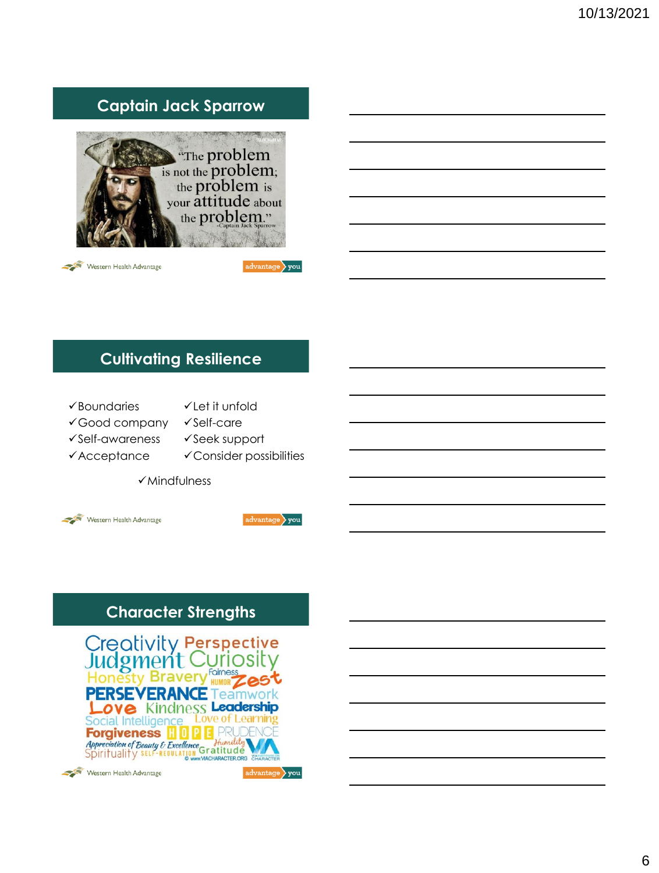## **Captain Jack Sparrow**



Western Health Advantage

 $advantage$  you

### **Cultivating Resilience**

- ✓Boundaries
- ✓Let it unfold
- ✓Good company
- ✓Self-care
- ✓Self-awareness ✓Acceptance
- ✓Seek support
- 
- ✓Consider possibilities
- ✓Mindfulness





## **Character Strengths**

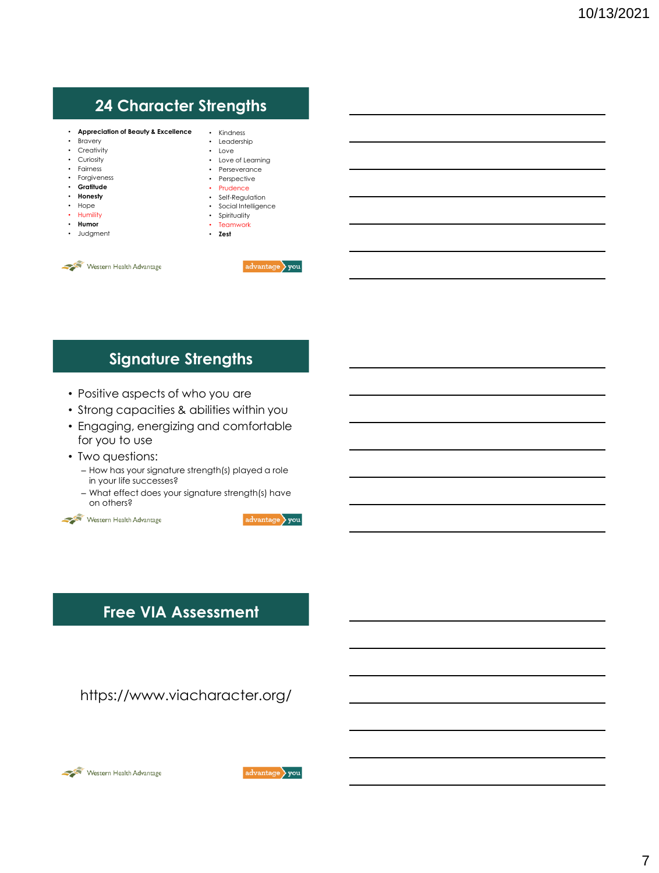## **24 Character Strengths**

- **Appreciation of Beauty & Excellence**
- Bravery
- Creativity
- Curiosity
- Fairness
- Forgiveness
- **Gratitude**
- **Honesty**
- Hope
- Humility
- **Humor**
- Judgment
- Kindness • Leadership • Love • Love of Learning
	- Perseverance
	- Perspective
	- Prudence
	- Self-Regulation
	- Social Intelligence • Spirituality
	- Teamwork
	- **Zest**



 $advantage$  you

### **Signature Strengths**

- Positive aspects of who you are
- Strong capacities & abilities within you
- Engaging, energizing and comfortable for you to use
- Two questions:
	- How has your signature strength(s) played a role in your life successes?
	- What effect does your signature strength(s) have on others?





### **Free VIA Assessment**

https://www.viacharacter.org/



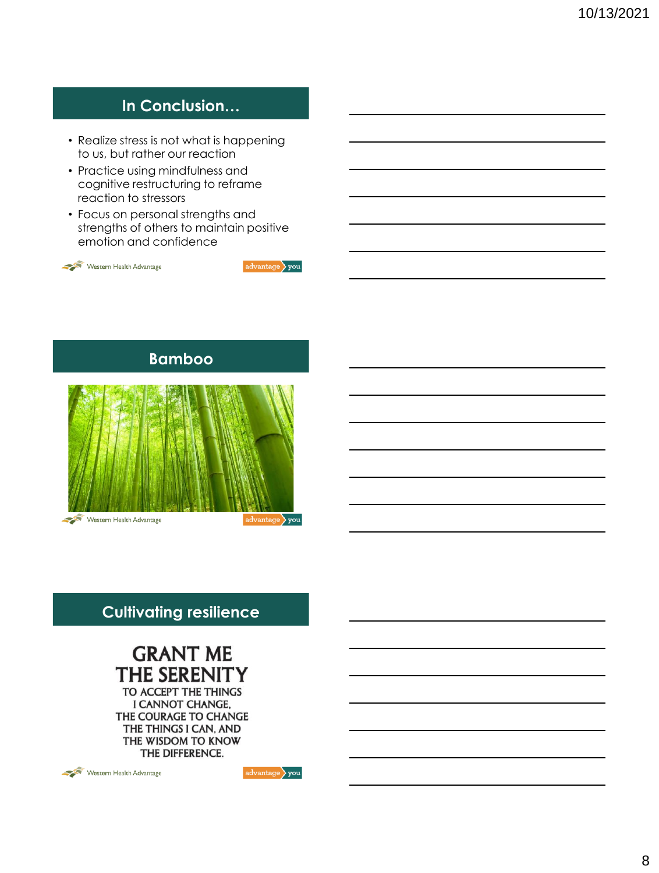## **In Conclusion…**

- Realize stress is not what is happening to us, but rather our reaction
- Practice using mindfulness and cognitive restructuring to reframe reaction to stressors
- Focus on personal strengths and strengths of others to maintain positive emotion and confidence







### **Cultivating resilience**

# **GRANT ME** THE SERENITY

TO ACCEPT THE THINGS I CANNOT CHANGE, THE COURAGE TO CHANGE THE THINGS I CAN, AND THE WISDOM TO KNOW THE DIFFERENCE.



 $\vert$  advantage  $\rangle$  you